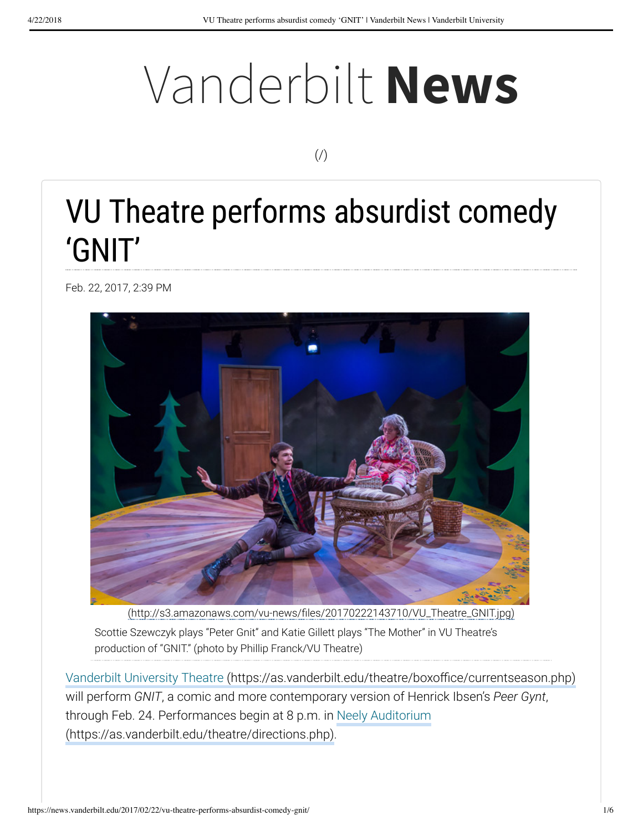# Vanderbilt **News**

 $($  $/$  $)$ 

# VU Theatre performs absurdist comedy 'GNIT'

Feb. 22, 2017, 2:39 PM



(http://s3.amazonaws.com/vu-news/files/20170222143710/VU\_Theatre\_GNIT.jpg)

Scottie Szewczyk plays "Peter Gnit" and Katie Gillett plays "The Mother" in VU Theatre's production of "GNIT." (photo by Phillip Franck/VU Theatre)

Vanderbilt University Theatre (https://as.vanderbilt.edu/theatre/boxoffice/currentseason.php) will perform *GNIT*, a comic and more contemporary version of Henrick Ibsen's *Peer Gynt*, through Feb. 24. Performances begin at 8 p.m. in Neely Auditorium (https://as.vanderbilt.edu/theatre/directions.php).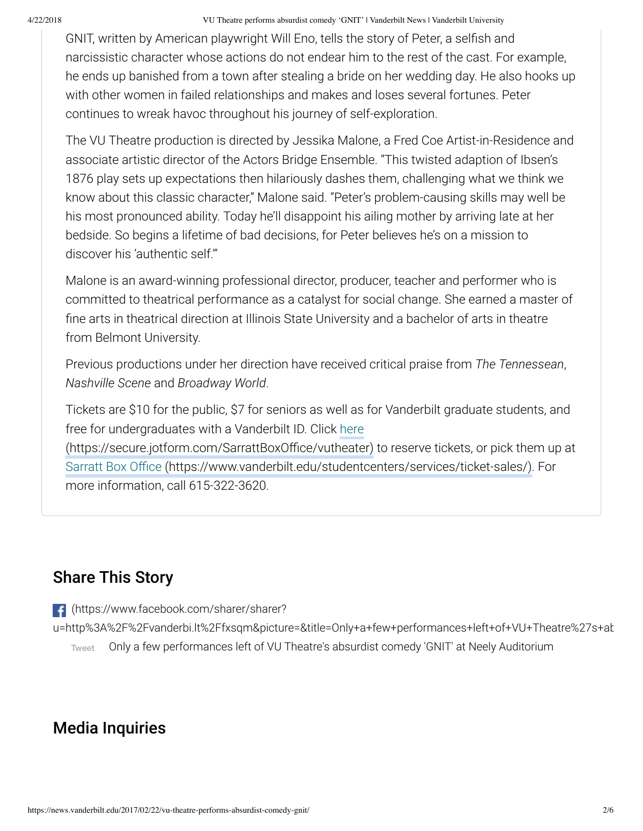#### 4/22/2018 VU Theatre performs absurdist comedy 'GNIT' | Vanderbilt News | Vanderbilt University

GNIT, written by American playwright Will Eno, tells the story of Peter, a selfish and narcissistic character whose actions do not endear him to the rest of the cast. For example, he ends up banished from a town after stealing a bride on her wedding day. He also hooks up with other women in failed relationships and makes and loses several fortunes. Peter continues to wreak havoc throughout his journey of self-exploration.

The VU Theatre production is directed by Jessika Malone, a Fred Coe Artist-in-Residence and associate artistic director of the Actors Bridge Ensemble. "This twisted adaption of Ibsen's 1876 play sets up expectations then hilariously dashes them, challenging what we think we know about this classic character," Malone said. "Peter's problem-causing skills may well be his most pronounced ability. Today he'll disappoint his ailing mother by arriving late at her bedside. So begins a lifetime of bad decisions, for Peter believes he's on a mission to discover his 'authentic self.'"

Malone is an award-winning professional director, producer, teacher and performer who is committed to theatrical performance as a catalyst for social change. She earned a master of fine arts in theatrical direction at Illinois State University and a bachelor of arts in theatre from Belmont University.

Previous productions under her direction have received critical praise from *The Tennessean*, *Nashville Scene* and *Broadway World*.

Tickets are \$10 for the public, \$7 for seniors as well as for Vanderbilt graduate students, and free for undergraduates with a Vanderbilt ID. Click here (https://secure.jotform.com/SarrattBoxOffice/vutheater) to reserve tickets, or pick them up at Sarratt Box Office (https://www.vanderbilt.edu/studentcenters/services/ticket-sales/). For more information, call 615-322-3620.

#### Share This Story

- (https://www.facebook.com/sharer/sharer?
- u=http%3A%2F%2Fvanderbi.lt%2Ffxsqm&picture=&title=Only+a+few+performances+left+of+VU+Theatre%27s+ab Tweet Only a few performances left of VU Theatre's absurdist comedy 'GNIT' at Neely Auditorium

#### Media Inquiries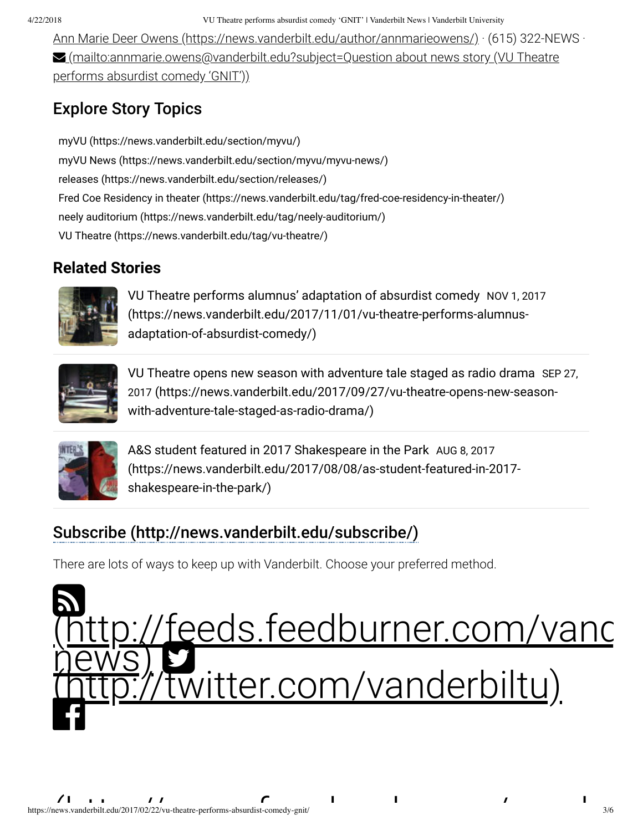4/22/2018 VU Theatre performs absurdist comedy 'GNIT' | Vanderbilt News | Vanderbilt University

Ann Marie Deer Owens (https://news.vanderbilt.edu/author/annmarieowens/) · (615) 322-NEWS ·  $\blacktriangleright$  (mailto:annmarie.owens@vanderbilt.edu?subject=Question about news story (VU Theatre performs absurdist comedy 'GNIT'))

# Explore Story Topics

myVU (https://news.vanderbilt.edu/section/myvu/) myVU News (https://news.vanderbilt.edu/section/myvu/myvu-news/) releases (https://news.vanderbilt.edu/section/releases/) Fred Coe Residency in theater (https://news.vanderbilt.edu/tag/fred-coe-residency-in-theater/) neely auditorium (https://news.vanderbilt.edu/tag/neely-auditorium/) VU Theatre (https://news.vanderbilt.edu/tag/vu-theatre/)

### **Related Stories**



VU Theatre performs alumnus' adaptation of absurdist comedy NOV 1, 2017 (https://news.vanderbilt.edu/2017/11/01/vu-theatre-performs-alumnusadaptation-of-absurdist-comedy/)



VU Theatre opens new season with adventure tale staged as radio drama SEP 27, 2017 (https://news.vanderbilt.edu/2017/09/27/vu-theatre-opens-new-seasonwith-adventure-tale-staged-as-radio-drama/)



A&S student featured in 2017 Shakespeare in the Park AUG 8, 2017 (https://news.vanderbilt.edu/2017/08/08/as-student-featured-in-2017 shakespeare-in-the-park/)

# Subscribe (http://news.vanderbilt.edu/subscribe/)

There are lots of ways to keep up with Vanderbilt. Choose your preferred method.

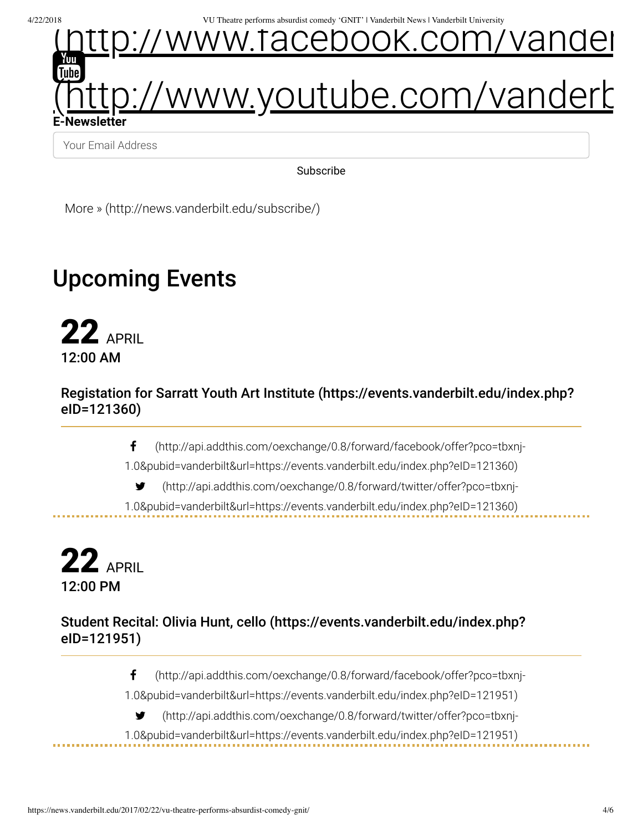4/22/2018 VU Theatre performs absurdist comedy 'GNIT' | Vanderbilt News | Vanderbilt University



Your Email Address

Subscribe

More » (http://news.vanderbilt.edu/subscribe/)

# Upcoming Events

22 APRIL 12:00 AM

Registation for Sarratt Youth Art Institute (https://events.vanderbilt.edu/index.php? eID=121360)

(http://api.addthis.com/oexchange/0.8/forward/facebook/offer?pco=tbxnj-

1.0&pubid=vanderbilt&url=https://events.vanderbilt.edu/index.php?eID=121360)

(http://api.addthis.com/oexchange/0.8/forward/twitter/offer?pco=tbxnj-

1.0&pubid=vanderbilt&url=https://events.vanderbilt.edu/index.php?eID=121360)

**22 APRIL** 12:00 PM

Student Recital: Olivia Hunt, cello (https://events.vanderbilt.edu/index.php? eID=121951)

(http://api.addthis.com/oexchange/0.8/forward/facebook/offer?pco=tbxnj-

1.0&pubid=vanderbilt&url=https://events.vanderbilt.edu/index.php?eID=121951)

(http://api.addthis.com/oexchange/0.8/forward/twitter/offer?pco=tbxnj-

1.0&pubid=vanderbilt&url=https://events.vanderbilt.edu/index.php?eID=121951)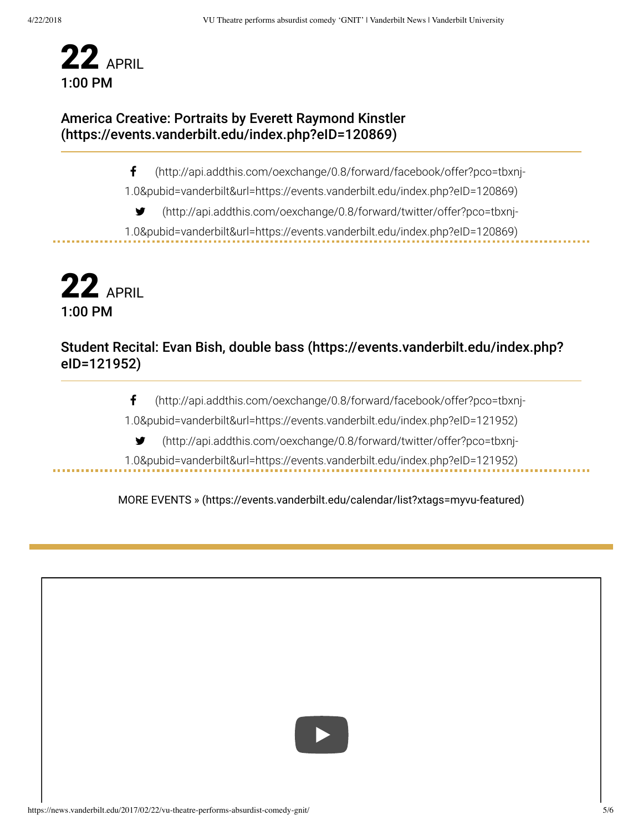

#### America Creative: Portraits by Everett Raymond Kinstler (https://events.vanderbilt.edu/index.php?eID=120869)

(http://api.addthis.com/oexchange/0.8/forward/facebook/offer?pco=tbxnj-

1.0&pubid=vanderbilt&url=https://events.vanderbilt.edu/index.php?eID=120869)

(http://api.addthis.com/oexchange/0.8/forward/twitter/offer?pco=tbxnj-

1.0&pubid=vanderbilt&url=https://events.vanderbilt.edu/index.php?eID=120869)

**22 APRIL** 1:00 PM

. . . . . . . . . . .

#### Student Recital: Evan Bish, double bass (https://events.vanderbilt.edu/index.php? eID=121952)

(http://api.addthis.com/oexchange/0.8/forward/facebook/offer?pco=tbxnj-

1.0&pubid=vanderbilt&url=https://events.vanderbilt.edu/index.php?eID=121952)

(http://api.addthis.com/oexchange/0.8/forward/twitter/offer?pco=tbxnj-

1.0&pubid=vanderbilt&url=https://events.vanderbilt.edu/index.php?eID=121952)

MORE EVENTS » (https://events.vanderbilt.edu/calendar/list?xtags=myvu-featured)



. . . . . . . . . . .